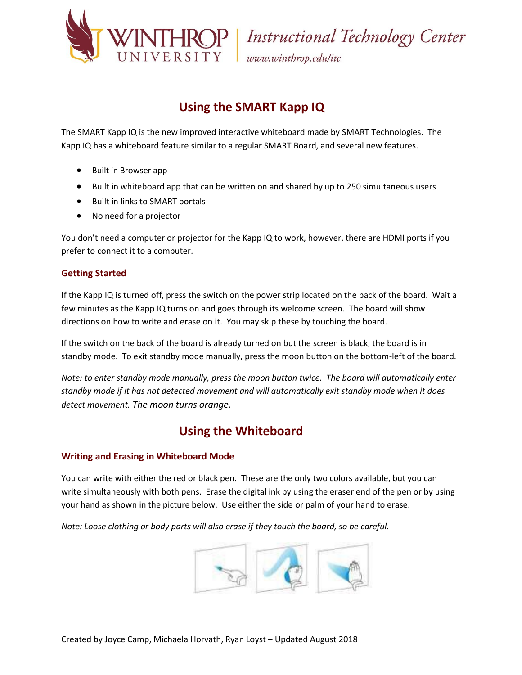

VERSITY | Instructional Technology Center<br>VERSITY | www.winthrop.edu/itc

## **Using the SMART Kapp IQ**

The SMART Kapp IQ is the new improved interactive whiteboard made by SMART Technologies. The Kapp IQ has a whiteboard feature similar to a regular SMART Board, and several new features.

- Built in Browser app
- Built in whiteboard app that can be written on and shared by up to 250 simultaneous users
- Built in links to SMART portals
- No need for a projector

You don't need a computer or projector for the Kapp IQ to work, however, there are HDMI ports if you prefer to connect it to a computer.

### **Getting Started**

If the Kapp IQ is turned off, press the switch on the power strip located on the back of the board. Wait a few minutes as the Kapp IQ turns on and goes through its welcome screen. The board will show directions on how to write and erase on it. You may skip these by touching the board.

If the switch on the back of the board is already turned on but the screen is black, the board is in standby mode. To exit standby mode manually, press the moon button on the bottom-left of the board.

*Note: to enter standby mode manually, press the moon button twice. The board will automatically enter standby mode if it has not detected movement and will automatically exit standby mode when it does detect movement. The moon turns orange.*

### **Using the Whiteboard**

#### **Writing and Erasing in Whiteboard Mode**

You can write with either the red or black pen. These are the only two colors available, but you can write simultaneously with both pens. Erase the digital ink by using the eraser end of the pen or by using your hand as shown in the picture below. Use either the side or palm of your hand to erase.

*Note: Loose clothing or body parts will also erase if they touch the board, so be careful.*

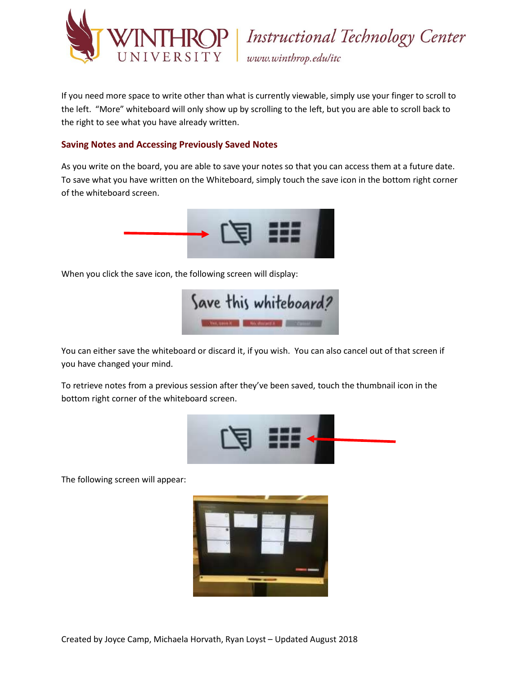

P | Instructional Technology Center www.winthrop.edulitc

If you need more space to write other than what is currently viewable, simply use your finger to scroll to the left. "More" whiteboard will only show up by scrolling to the left, but you are able to scroll back to the right to see what you have already written.

### **Saving Notes and Accessing Previously Saved Notes**

As you write on the board, you are able to save your notes so that you can access them at a future date. To save what you have written on the Whiteboard, simply touch the save icon in the bottom right corner of the whiteboard screen.



When you click the save icon, the following screen will display:



You can either save the whiteboard or discard it, if you wish. You can also cancel out of that screen if you have changed your mind.

To retrieve notes from a previous session after they've been saved, touch the thumbnail icon in the bottom right corner of the whiteboard screen.



The following screen will appear:

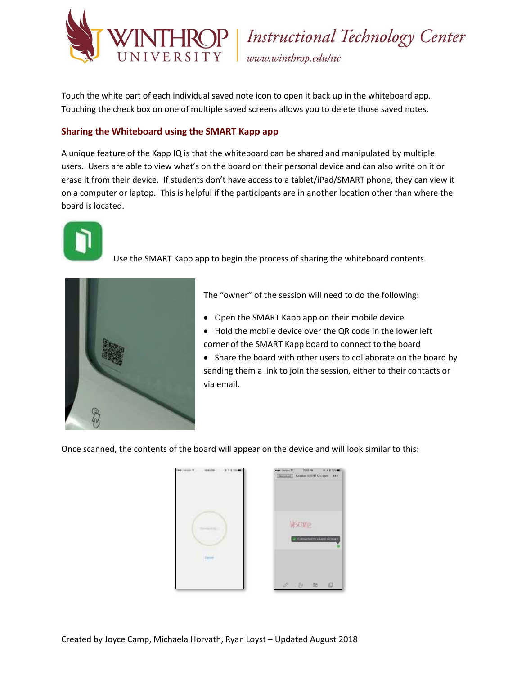

**JP** | Instructional Technology Center www.winthrop.edulitc

Touch the white part of each individual saved note icon to open it back up in the whiteboard app. Touching the check box on one of multiple saved screens allows you to delete those saved notes.

### **Sharing the Whiteboard using the SMART Kapp app**

A unique feature of the Kapp IQ is that the whiteboard can be shared and manipulated by multiple users. Users are able to view what's on the board on their personal device and can also write on it or erase it from their device. If students don't have access to a tablet/iPad/SMART phone, they can view it on a computer or laptop. This is helpful if the participants are in another location other than where the board is located.



Use the SMART Kapp app to begin the process of sharing the whiteboard contents.



The "owner" of the session will need to do the following:

- Open the SMART Kapp app on their mobile device
- Hold the mobile device over the QR code in the lower left corner of the SMART Kapp board to connect to the board
- Share the board with other users to collaborate on the board by sending them a link to join the session, either to their contacts or via email.

Once scanned, the contents of the board will appear on the device and will look similar to this:

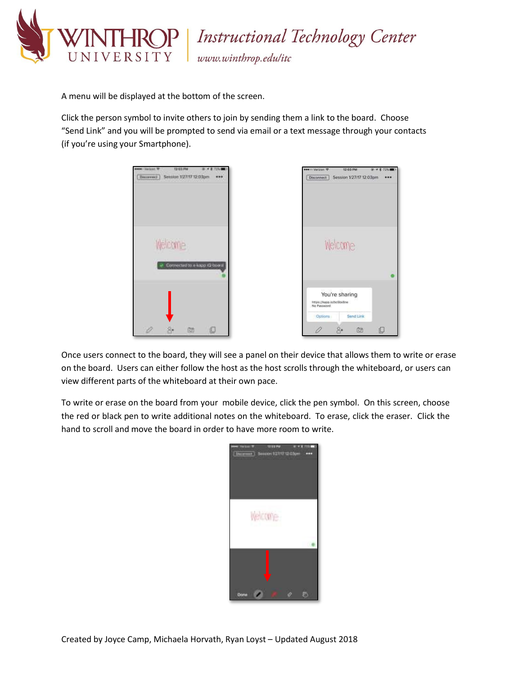

Instructional Technology Center

www.winthrop.edulitc

A menu will be displayed at the bottom of the screen.

Click the person symbol to invite others to join by sending them a link to the board. Choose "Send Link" and you will be prompted to send via email or a text message through your contacts (if you're using your Smartphone).

| Welcome<br>Welcome<br>Connected to a kapp (2-boar)<br>You're sharing<br>https://kapp.io/bc5bk8ne<br>No Password<br>Send Link<br>Options: | 12103-014<br>sees: listing TP<br>$-11$<br>723.3<br>Session 1/27/17 12:03pm<br><b>Burnweit</b><br> | seem Verizon<br>12:03 PM<br>@ イオ 72%<br>Session 1/27/17 12:03pm<br><b>Disconnect</b><br> |
|------------------------------------------------------------------------------------------------------------------------------------------|---------------------------------------------------------------------------------------------------|------------------------------------------------------------------------------------------|
|                                                                                                                                          |                                                                                                   |                                                                                          |
|                                                                                                                                          |                                                                                                   |                                                                                          |

Once users connect to the board, they will see a panel on their device that allows them to write or erase on the board. Users can either follow the host as the host scrolls through the whiteboard, or users can view different parts of the whiteboard at their own pace.

To write or erase on the board from your mobile device, click the pen symbol. On this screen, choose the red or black pen to write additional notes on the whiteboard. To erase, click the eraser. Click the hand to scroll and move the board in order to have more room to write.

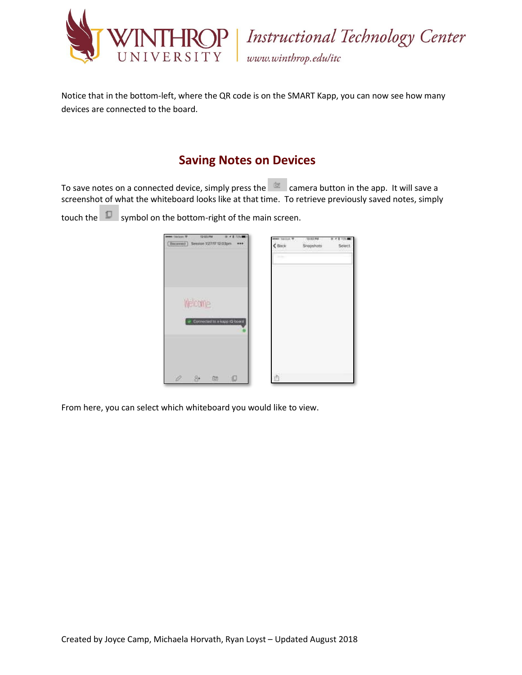

THROP Instructional Technology Center www.winthrop.edulitc

Notice that in the bottom-left, where the QR code is on the SMART Kapp, you can now see how many devices are connected to the board.

## **Saving Notes on Devices**

To save notes on a connected device, simply press the  $\frac{1}{100}$  camera button in the app. It will save a screenshot of what the whiteboard looks like at that time. To retrieve previously saved notes, simply

touch the  $\Box$  symbol on the bottom-right of the main screen.

| <b>SHART DISTERS TO</b><br>[ Binarrooth] |         | 12/03/799<br>Settlon 127/17 12:03pm | $\overline{\phantom{a}}$<br> | <b>MANY SECOND W</b><br>600x | 12/22 PM<br>Shapshots | Seiert |
|------------------------------------------|---------|-------------------------------------|------------------------------|------------------------------|-----------------------|--------|
|                                          |         |                                     |                              | <b>START</b>                 |                       |        |
|                                          |         |                                     |                              |                              |                       |        |
|                                          | Welcome |                                     |                              |                              |                       |        |
|                                          |         | Controcted to a wasp (Q-book)       |                              |                              |                       |        |
|                                          |         |                                     |                              |                              |                       |        |
|                                          |         |                                     |                              |                              |                       |        |
|                                          | 80      | 825                                 |                              |                              |                       |        |

From here, you can select which whiteboard you would like to view.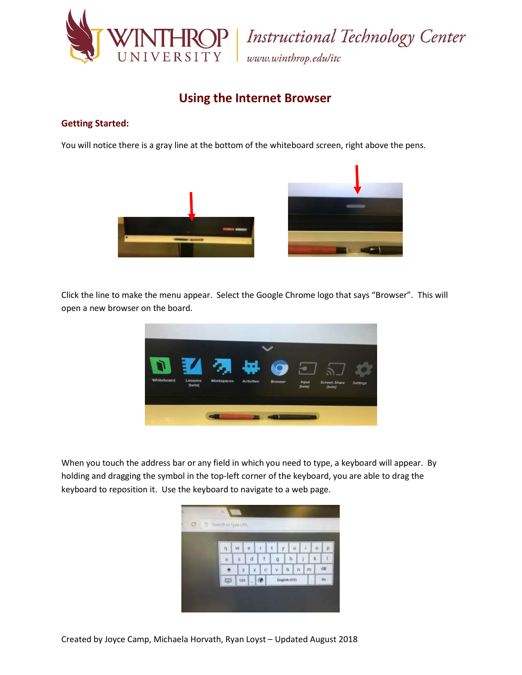

Instructional Technology Center www.winthrop.edulitc

### **Using the Internet Browser**

#### **Getting Started:**

You will notice there is a gray line at the bottom of the whiteboard screen, right above the pens.



Click the line to make the menu appear. Select the Google Chrome logo that says "Browser". This will open a new browser on the board.



When you touch the address bar or any field in which you need to type, a keyboard will appear. By holding and dragging the symbol in the top-left corner of the keyboard, you are able to drag the keyboard to reposition it. Use the keyboard to navigate to a web page.

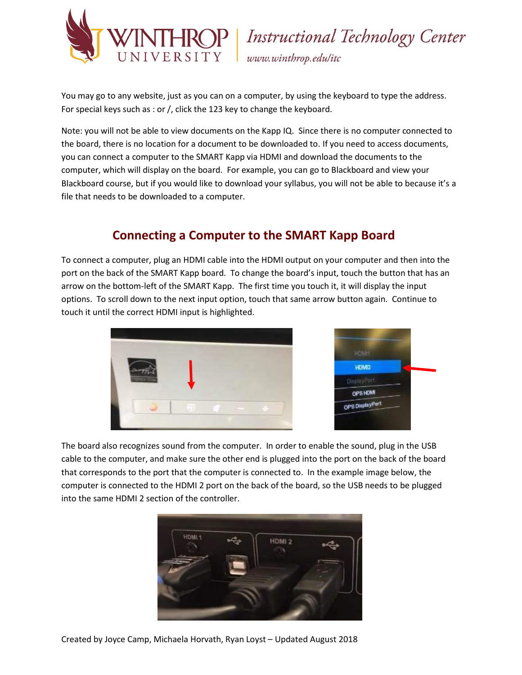

P | Instructional Technology Center www.winthrop.edulitc

You may go to any website, just as you can on a computer, by using the keyboard to type the address. For special keys such as : or /, click the 123 key to change the keyboard.

Note: you will not be able to view documents on the Kapp IQ. Since there is no computer connected to the board, there is no location for a document to be downloaded to. If you need to access documents, you can connect a computer to the SMART Kapp via HDMI and download the documents to the computer, which will display on the board. For example, you can go to Blackboard and view your Blackboard course, but if you would like to download your syllabus, you will not be able to because it's a file that needs to be downloaded to a computer.

# **Connecting a Computer to the SMART Kapp Board**

To connect a computer, plug an HDMI cable into the HDMI output on your computer and then into the port on the back of the SMART Kapp board. To change the board's input, touch the button that has an arrow on the bottom-left of the SMART Kapp. The first time you touch it, it will display the input options. To scroll down to the next input option, touch that same arrow button again. Continue to touch it until the correct HDMI input is highlighted.





The board also recognizes sound from the computer. In order to enable the sound, plug in the USB cable to the computer, and make sure the other end is plugged into the port on the back of the board that corresponds to the port that the computer is connected to. In the example image below, the computer is connected to the HDMI 2 port on the back of the board, so the USB needs to be plugged into the same HDMI 2 section of the controller.